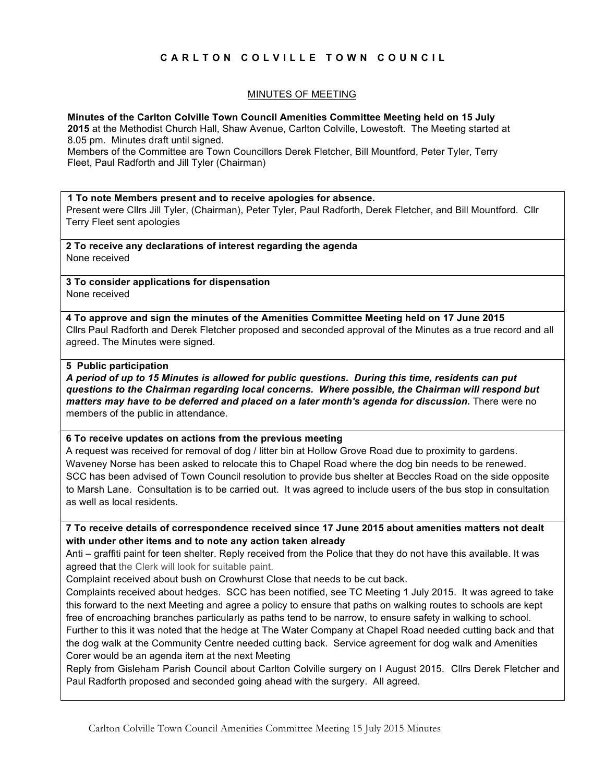# **CARLTON COLVILLE TOWN COUNCIL**

### MINUTES OF MEETING

**Minutes of the Carlton Colville Town Council Amenities Committee Meeting held on 15 July**

**2015** at the Methodist Church Hall, Shaw Avenue, Carlton Colville, Lowestoft. The Meeting started at 8.05 pm. Minutes draft until signed.

Members of the Committee are Town Councillors Derek Fletcher, Bill Mountford, Peter Tyler, Terry Fleet, Paul Radforth and Jill Tyler (Chairman)

#### **1 To note Members present and to receive apologies for absence.**

Present were Cllrs Jill Tyler, (Chairman), Peter Tyler, Paul Radforth, Derek Fletcher, and Bill Mountford. Cllr Terry Fleet sent apologies

**2 To receive any declarations of interest regarding the agenda** None received

**3 To consider applications for dispensation** None received

**4 To approve and sign the minutes of the Amenities Committee Meeting held on 17 June 2015** Cllrs Paul Radforth and Derek Fletcher proposed and seconded approval of the Minutes as a true record and all agreed. The Minutes were signed.

#### **5 Public participation**

*A period of up to 15 Minutes is allowed for public questions. During this time, residents can put questions to the Chairman regarding local concerns. Where possible, the Chairman will respond but matters may have to be deferred and placed on a later month's agenda for discussion.* There were no members of the public in attendance.

### **6 To receive updates on actions from the previous meeting**

A request was received for removal of dog / litter bin at Hollow Grove Road due to proximity to gardens. Waveney Norse has been asked to relocate this to Chapel Road where the dog bin needs to be renewed. SCC has been advised of Town Council resolution to provide bus shelter at Beccles Road on the side opposite to Marsh Lane. Consultation is to be carried out. It was agreed to include users of the bus stop in consultation as well as local residents.

**7 To receive details of correspondence received since 17 June 2015 about amenities matters not dealt with under other items and to note any action taken already**

Anti – graffiti paint for teen shelter. Reply received from the Police that they do not have this available. It was agreed that the Clerk will look for suitable paint.

Complaint received about bush on Crowhurst Close that needs to be cut back.

Complaints received about hedges. SCC has been notified, see TC Meeting 1 July 2015. It was agreed to take this forward to the next Meeting and agree a policy to ensure that paths on walking routes to schools are kept free of encroaching branches particularly as paths tend to be narrow, to ensure safety in walking to school. Further to this it was noted that the hedge at The Water Company at Chapel Road needed cutting back and that the dog walk at the Community Centre needed cutting back. Service agreement for dog walk and Amenities Corer would be an agenda item at the next Meeting

Reply from Gisleham Parish Council about Carlton Colville surgery on I August 2015. Cllrs Derek Fletcher and Paul Radforth proposed and seconded going ahead with the surgery. All agreed.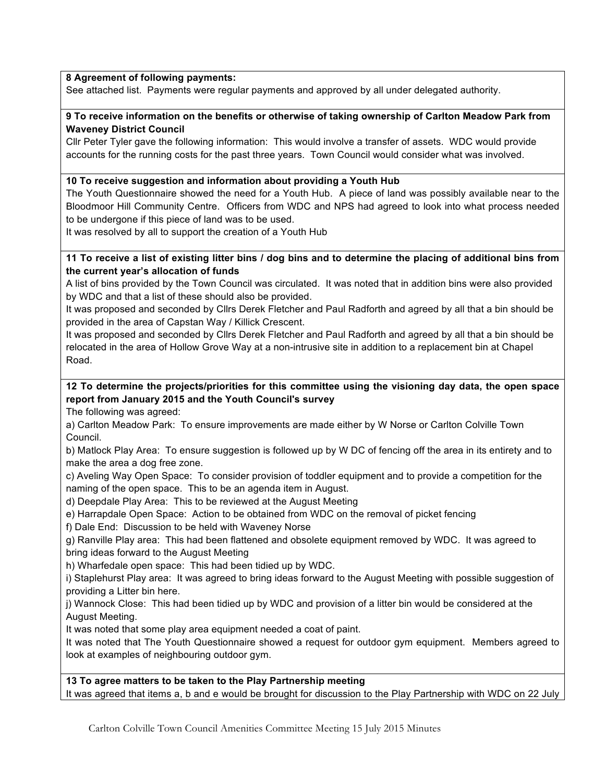## **8 Agreement of following payments:**

See attached list. Payments were regular payments and approved by all under delegated authority.

## **9 To receive information on the benefits or otherwise of taking ownership of Carlton Meadow Park from Waveney District Council**

Cllr Peter Tyler gave the following information: This would involve a transfer of assets. WDC would provide accounts for the running costs for the past three years. Town Council would consider what was involved.

## **10 To receive suggestion and information about providing a Youth Hub**

The Youth Questionnaire showed the need for a Youth Hub. A piece of land was possibly available near to the Bloodmoor Hill Community Centre. Officers from WDC and NPS had agreed to look into what process needed to be undergone if this piece of land was to be used.

It was resolved by all to support the creation of a Youth Hub

## **11 To receive a list of existing litter bins / dog bins and to determine the placing of additional bins from the current year's allocation of funds**

A list of bins provided by the Town Council was circulated. It was noted that in addition bins were also provided by WDC and that a list of these should also be provided.

It was proposed and seconded by Cllrs Derek Fletcher and Paul Radforth and agreed by all that a bin should be provided in the area of Capstan Way / Killick Crescent.

It was proposed and seconded by Cllrs Derek Fletcher and Paul Radforth and agreed by all that a bin should be relocated in the area of Hollow Grove Way at a non-intrusive site in addition to a replacement bin at Chapel Road.

# **12 To determine the projects/priorities for this committee using the visioning day data, the open space report from January 2015 and the Youth Council's survey**

The following was agreed:

a) Carlton Meadow Park: To ensure improvements are made either by W Norse or Carlton Colville Town Council.

b) Matlock Play Area: To ensure suggestion is followed up by W DC of fencing off the area in its entirety and to make the area a dog free zone.

c) Aveling Way Open Space: To consider provision of toddler equipment and to provide a competition for the naming of the open space. This to be an agenda item in August.

d) Deepdale Play Area: This to be reviewed at the August Meeting

e) Harrapdale Open Space: Action to be obtained from WDC on the removal of picket fencing

f) Dale End: Discussion to be held with Waveney Norse

g) Ranville Play area: This had been flattened and obsolete equipment removed by WDC. It was agreed to bring ideas forward to the August Meeting

h) Wharfedale open space: This had been tidied up by WDC.

i) Staplehurst Play area: It was agreed to bring ideas forward to the August Meeting with possible suggestion of providing a Litter bin here.

j) Wannock Close: This had been tidied up by WDC and provision of a litter bin would be considered at the August Meeting.

It was noted that some play area equipment needed a coat of paint.

It was noted that The Youth Questionnaire showed a request for outdoor gym equipment. Members agreed to look at examples of neighbouring outdoor gym.

## **13 To agree matters to be taken to the Play Partnership meeting**

It was agreed that items a, b and e would be brought for discussion to the Play Partnership with WDC on 22 July